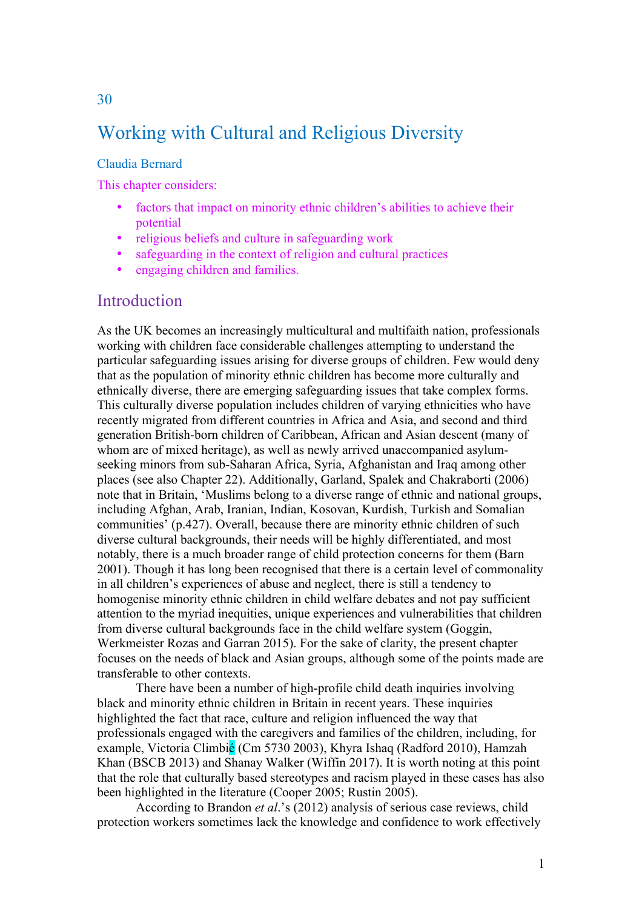# Working with Cultural and Religious Diversity

#### Claudia Bernard

This chapter considers:

- factors that impact on minority ethnic children's abilities to achieve their potential
- religious beliefs and culture in safeguarding work
- safeguarding in the context of religion and cultural practices
- engaging children and families.

#### **Introduction**

As the UK becomes an increasingly multicultural and multifaith nation, professionals working with children face considerable challenges attempting to understand the particular safeguarding issues arising for diverse groups of children. Few would deny that as the population of minority ethnic children has become more culturally and ethnically diverse, there are emerging safeguarding issues that take complex forms. This culturally diverse population includes children of varying ethnicities who have recently migrated from different countries in Africa and Asia, and second and third generation British-born children of Caribbean, African and Asian descent (many of whom are of mixed heritage), as well as newly arrived unaccompanied asylumseeking minors from sub-Saharan Africa, Syria, Afghanistan and Iraq among other places (see also Chapter 22). Additionally, Garland, Spalek and Chakraborti (2006) note that in Britain, 'Muslims belong to a diverse range of ethnic and national groups, including Afghan, Arab, Iranian, Indian, Kosovan, Kurdish, Turkish and Somalian communities' (p.427). Overall, because there are minority ethnic children of such diverse cultural backgrounds, their needs will be highly differentiated, and most notably, there is a much broader range of child protection concerns for them (Barn 2001). Though it has long been recognised that there is a certain level of commonality in all children's experiences of abuse and neglect, there is still a tendency to homogenise minority ethnic children in child welfare debates and not pay sufficient attention to the myriad inequities, unique experiences and vulnerabilities that children from diverse cultural backgrounds face in the child welfare system (Goggin, Werkmeister Rozas and Garran 2015). For the sake of clarity, the present chapter focuses on the needs of black and Asian groups, although some of the points made are transferable to other contexts.

There have been a number of high-profile child death inquiries involving black and minority ethnic children in Britain in recent years. These inquiries highlighted the fact that race, culture and religion influenced the way that professionals engaged with the caregivers and families of the children, including, for example, Victoria Climbié (Cm 5730 2003), Khyra Ishaq (Radford 2010), Hamzah Khan (BSCB 2013) and Shanay Walker (Wiffin 2017). It is worth noting at this point that the role that culturally based stereotypes and racism played in these cases has also been highlighted in the literature (Cooper 2005; Rustin 2005).

According to Brandon *et al*.'s (2012) analysis of serious case reviews, child protection workers sometimes lack the knowledge and confidence to work effectively

30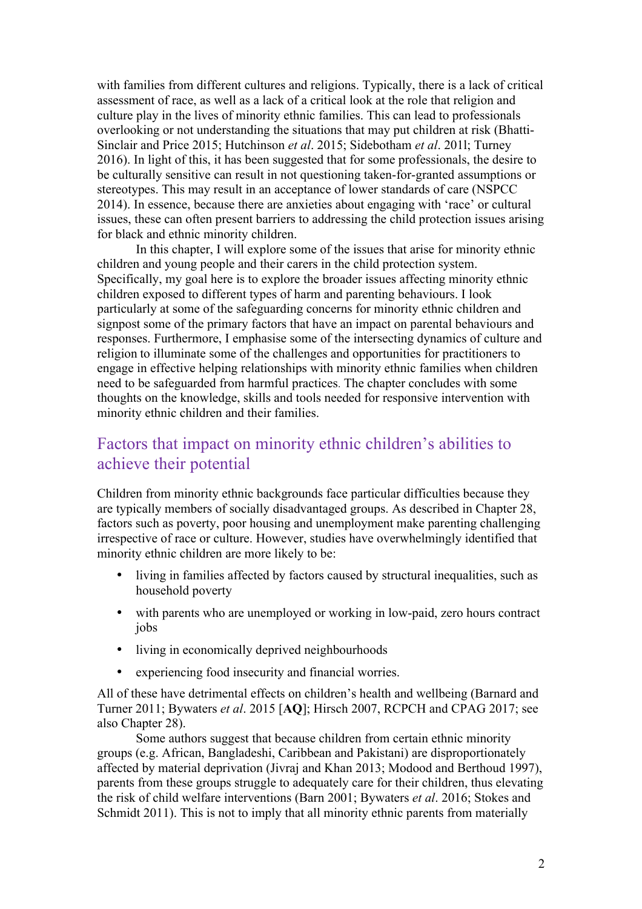with families from different cultures and religions. Typically, there is a lack of critical assessment of race, as well as a lack of a critical look at the role that religion and culture play in the lives of minority ethnic families. This can lead to professionals overlooking or not understanding the situations that may put children at risk (Bhatti-Sinclair and Price 2015; Hutchinson *et al*. 2015; Sidebotham *et al*. 201l; Turney 2016). In light of this, it has been suggested that for some professionals, the desire to be culturally sensitive can result in not questioning taken-for-granted assumptions or stereotypes. This may result in an acceptance of lower standards of care (NSPCC 2014). In essence, because there are anxieties about engaging with 'race' or cultural issues, these can often present barriers to addressing the child protection issues arising for black and ethnic minority children.

In this chapter, I will explore some of the issues that arise for minority ethnic children and young people and their carers in the child protection system. Specifically, my goal here is to explore the broader issues affecting minority ethnic children exposed to different types of harm and parenting behaviours. I look particularly at some of the safeguarding concerns for minority ethnic children and signpost some of the primary factors that have an impact on parental behaviours and responses. Furthermore, I emphasise some of the intersecting dynamics of culture and religion to illuminate some of the challenges and opportunities for practitioners to engage in effective helping relationships with minority ethnic families when children need to be safeguarded from harmful practices. The chapter concludes with some thoughts on the knowledge, skills and tools needed for responsive intervention with minority ethnic children and their families.

## Factors that impact on minority ethnic children's abilities to achieve their potential

Children from minority ethnic backgrounds face particular difficulties because they are typically members of socially disadvantaged groups. As described in Chapter 28, factors such as poverty, poor housing and unemployment make parenting challenging irrespective of race or culture. However, studies have overwhelmingly identified that minority ethnic children are more likely to be:

- living in families affected by factors caused by structural inequalities, such as household poverty
- with parents who are unemployed or working in low-paid, zero hours contract jobs
- living in economically deprived neighbourhoods
- experiencing food insecurity and financial worries.

All of these have detrimental effects on children's health and wellbeing (Barnard and Turner 2011; Bywaters *et al*. 2015 [**AQ**]; Hirsch 2007, RCPCH and CPAG 2017; see also Chapter 28).

Some authors suggest that because children from certain ethnic minority groups (e.g. African, Bangladeshi, Caribbean and Pakistani) are disproportionately affected by material deprivation (Jivraj and Khan 2013; Modood and Berthoud 1997), parents from these groups struggle to adequately care for their children, thus elevating the risk of child welfare interventions (Barn 2001; Bywaters *et al*. 2016; Stokes and Schmidt 2011). This is not to imply that all minority ethnic parents from materially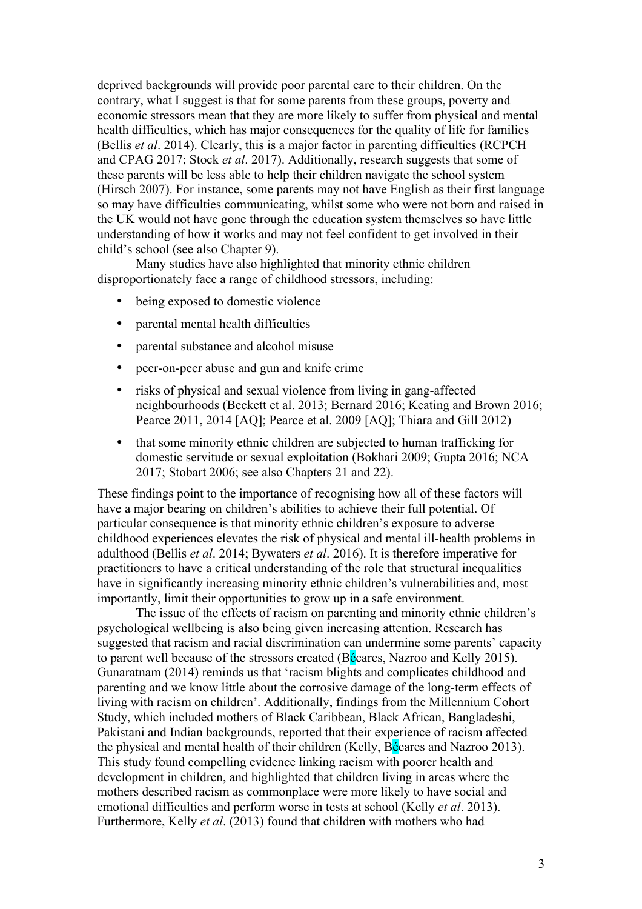deprived backgrounds will provide poor parental care to their children. On the contrary, what I suggest is that for some parents from these groups, poverty and economic stressors mean that they are more likely to suffer from physical and mental health difficulties, which has major consequences for the quality of life for families (Bellis *et al*. 2014). Clearly, this is a major factor in parenting difficulties (RCPCH and CPAG 2017; Stock *et al*. 2017). Additionally, research suggests that some of these parents will be less able to help their children navigate the school system (Hirsch 2007). For instance, some parents may not have English as their first language so may have difficulties communicating, whilst some who were not born and raised in the UK would not have gone through the education system themselves so have little understanding of how it works and may not feel confident to get involved in their child's school (see also Chapter 9).

Many studies have also highlighted that minority ethnic children disproportionately face a range of childhood stressors, including:

- being exposed to domestic violence
- parental mental health difficulties
- parental substance and alcohol misuse
- peer-on-peer abuse and gun and knife crime
- risks of physical and sexual violence from living in gang-affected neighbourhoods (Beckett et al. 2013; Bernard 2016; Keating and Brown 2016; Pearce 2011, 2014 [AQ]; Pearce et al. 2009 [AQ]; Thiara and Gill 2012)
- that some minority ethnic children are subjected to human trafficking for domestic servitude or sexual exploitation (Bokhari 2009; Gupta 2016; NCA 2017; Stobart 2006; see also Chapters 21 and 22).

These findings point to the importance of recognising how all of these factors will have a major bearing on children's abilities to achieve their full potential. Of particular consequence is that minority ethnic children's exposure to adverse childhood experiences elevates the risk of physical and mental ill-health problems in adulthood (Bellis *et al*. 2014; Bywaters *et al*. 2016). It is therefore imperative for practitioners to have a critical understanding of the role that structural inequalities have in significantly increasing minority ethnic children's vulnerabilities and, most importantly, limit their opportunities to grow up in a safe environment.

The issue of the effects of racism on parenting and minority ethnic children's psychological wellbeing is also being given increasing attention. Research has suggested that racism and racial discrimination can undermine some parents' capacity to parent well because of the stressors created (Bécares, Nazroo and Kelly 2015). Gunaratnam (2014) reminds us that 'racism blights and complicates childhood and parenting and we know little about the corrosive damage of the long-term effects of living with racism on children'. Additionally, findings from the Millennium Cohort Study, which included mothers of Black Caribbean, Black African, Bangladeshi, Pakistani and Indian backgrounds, reported that their experience of racism affected the physical and mental health of their children (Kelly, Bécares and Nazroo 2013). This study found compelling evidence linking racism with poorer health and development in children, and highlighted that children living in areas where the mothers described racism as commonplace were more likely to have social and emotional difficulties and perform worse in tests at school (Kelly *et al*. 2013). Furthermore, Kelly *et al*. (2013) found that children with mothers who had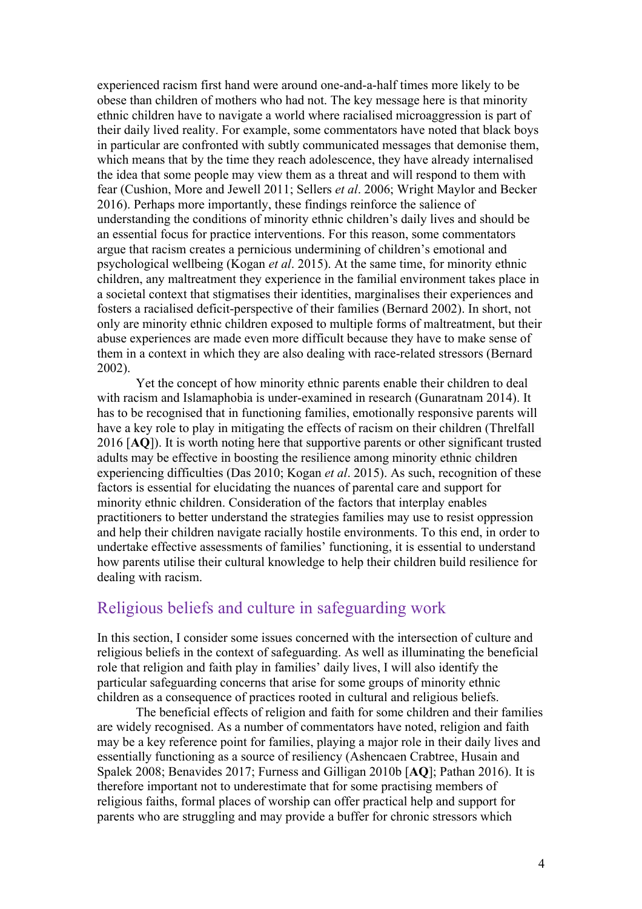experienced racism first hand were around one-and-a-half times more likely to be obese than children of mothers who had not. The key message here is that minority ethnic children have to navigate a world where racialised microaggression is part of their daily lived reality. For example, some commentators have noted that black boys in particular are confronted with subtly communicated messages that demonise them, which means that by the time they reach adolescence, they have already internalised the idea that some people may view them as a threat and will respond to them with fear (Cushion, More and Jewell 2011; Sellers *et al*. 2006; Wright Maylor and Becker 2016). Perhaps more importantly, these findings reinforce the salience of understanding the conditions of minority ethnic children's daily lives and should be an essential focus for practice interventions. For this reason, some commentators argue that racism creates a pernicious undermining of children's emotional and psychological wellbeing (Kogan *et al*. 2015). At the same time, for minority ethnic children, any maltreatment they experience in the familial environment takes place in a societal context that stigmatises their identities, marginalises their experiences and fosters a racialised deficit-perspective of their families (Bernard 2002). In short, not only are minority ethnic children exposed to multiple forms of maltreatment, but their abuse experiences are made even more difficult because they have to make sense of them in a context in which they are also dealing with race-related stressors (Bernard 2002).

Yet the concept of how minority ethnic parents enable their children to deal with racism and Islamaphobia is under-examined in research (Gunaratnam 2014). It has to be recognised that in functioning families, emotionally responsive parents will have a key role to play in mitigating the effects of racism on their children (Threlfall 2016 [**AQ**]). It is worth noting here that supportive parents or other significant trusted adults may be effective in boosting the resilience among minority ethnic children experiencing difficulties (Das 2010; Kogan *et al*. 2015). As such, recognition of these factors is essential for elucidating the nuances of parental care and support for minority ethnic children. Consideration of the factors that interplay enables practitioners to better understand the strategies families may use to resist oppression and help their children navigate racially hostile environments. To this end, in order to undertake effective assessments of families' functioning, it is essential to understand how parents utilise their cultural knowledge to help their children build resilience for dealing with racism.

#### Religious beliefs and culture in safeguarding work

In this section, I consider some issues concerned with the intersection of culture and religious beliefs in the context of safeguarding. As well as illuminating the beneficial role that religion and faith play in families' daily lives, I will also identify the particular safeguarding concerns that arise for some groups of minority ethnic children as a consequence of practices rooted in cultural and religious beliefs.

The beneficial effects of religion and faith for some children and their families are widely recognised. As a number of commentators have noted, religion and faith may be a key reference point for families, playing a major role in their daily lives and essentially functioning as a source of resiliency (Ashencaen Crabtree, Husain and Spalek 2008; Benavides 2017; Furness and Gilligan 2010b [**AQ**]; Pathan 2016). It is therefore important not to underestimate that for some practising members of religious faiths, formal places of worship can offer practical help and support for parents who are struggling and may provide a buffer for chronic stressors which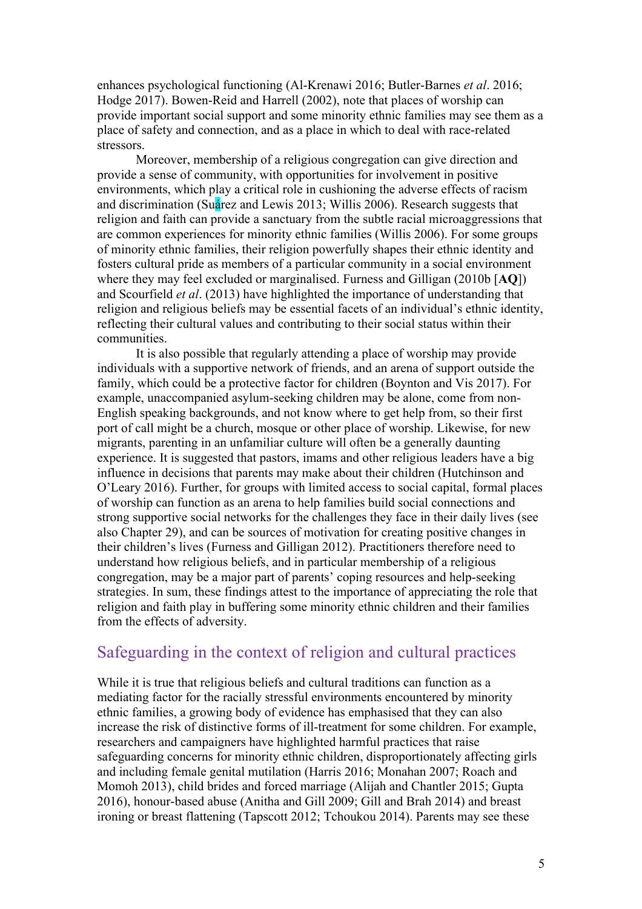enhances psychological functioning (Al-Krenawi 2016; Butler-Barnes *et al*. 2016; Hodge 2017). Bowen-Reid and Harrell (2002), note that places of worship can provide important social support and some minority ethnic families may see them as a place of safety and connection, and as a place in which to deal with race-related stressors.

Moreover, membership of a religious congregation can give direction and provide a sense of community, with opportunities for involvement in positive environments, which play a critical role in cushioning the adverse effects of racism and discrimination (Suárez and Lewis 2013; Willis 2006). Research suggests that religion and faith can provide a sanctuary from the subtle racial microaggressions that are common experiences for minority ethnic families (Willis 2006). For some groups of minority ethnic families, their religion powerfully shapes their ethnic identity and fosters cultural pride as members of a particular community in a social environment where they may feel excluded or marginalised. Furness and Gilligan (2010b [**AQ**]) and Scourfield *et al*. (2013) have highlighted the importance of understanding that religion and religious beliefs may be essential facets of an individual's ethnic identity, reflecting their cultural values and contributing to their social status within their communities.

It is also possible that regularly attending a place of worship may provide individuals with a supportive network of friends, and an arena of support outside the family, which could be a protective factor for children (Boynton and Vis 2017). For example, unaccompanied asylum-seeking children may be alone, come from non-English speaking backgrounds, and not know where to get help from, so their first port of call might be a church, mosque or other place of worship. Likewise, for new migrants, parenting in an unfamiliar culture will often be a generally daunting experience. It is suggested that pastors, imams and other religious leaders have a big influence in decisions that parents may make about their children (Hutchinson and O'Leary 2016). Further, for groups with limited access to social capital, formal places of worship can function as an arena to help families build social connections and strong supportive social networks for the challenges they face in their daily lives (see also Chapter 29), and can be sources of motivation for creating positive changes in their children's lives (Furness and Gilligan 2012). Practitioners therefore need to understand how religious beliefs, and in particular membership of a religious congregation, may be a major part of parents' coping resources and help-seeking strategies. In sum, these findings attest to the importance of appreciating the role that religion and faith play in buffering some minority ethnic children and their families from the effects of adversity.

#### Safeguarding in the context of religion and cultural practices

While it is true that religious beliefs and cultural traditions can function as a mediating factor for the racially stressful environments encountered by minority ethnic families, a growing body of evidence has emphasised that they can also increase the risk of distinctive forms of ill-treatment for some children. For example, researchers and campaigners have highlighted harmful practices that raise safeguarding concerns for minority ethnic children, disproportionately affecting girls and including female genital mutilation (Harris 2016; Monahan 2007; Roach and Momoh 2013), child brides and forced marriage (Alijah and Chantler 2015; Gupta 2016), honour-based abuse (Anitha and Gill 2009; Gill and Brah 2014) and breast ironing or breast flattening (Tapscott 2012; Tchoukou 2014). Parents may see these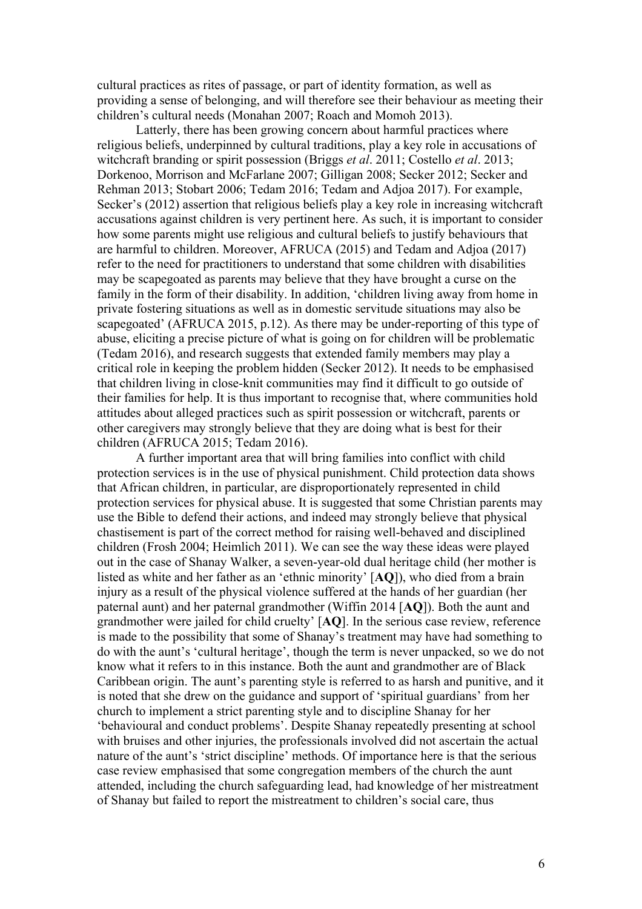cultural practices as rites of passage, or part of identity formation, as well as providing a sense of belonging, and will therefore see their behaviour as meeting their children's cultural needs (Monahan 2007; Roach and Momoh 2013).

Latterly, there has been growing concern about harmful practices where religious beliefs, underpinned by cultural traditions, play a key role in accusations of witchcraft branding or spirit possession (Briggs *et al*. 2011; Costello *et al*. 2013; Dorkenoo, Morrison and McFarlane 2007; Gilligan 2008; Secker 2012; Secker and Rehman 2013; Stobart 2006; Tedam 2016; Tedam and Adjoa 2017). For example, Secker's (2012) assertion that religious beliefs play a key role in increasing witchcraft accusations against children is very pertinent here. As such, it is important to consider how some parents might use religious and cultural beliefs to justify behaviours that are harmful to children. Moreover, AFRUCA (2015) and Tedam and Adjoa (2017) refer to the need for practitioners to understand that some children with disabilities may be scapegoated as parents may believe that they have brought a curse on the family in the form of their disability. In addition, 'children living away from home in private fostering situations as well as in domestic servitude situations may also be scapegoated' (AFRUCA 2015, p.12). As there may be under-reporting of this type of abuse, eliciting a precise picture of what is going on for children will be problematic (Tedam 2016), and research suggests that extended family members may play a critical role in keeping the problem hidden (Secker 2012). It needs to be emphasised that children living in close-knit communities may find it difficult to go outside of their families for help. It is thus important to recognise that, where communities hold attitudes about alleged practices such as spirit possession or witchcraft, parents or other caregivers may strongly believe that they are doing what is best for their children (AFRUCA 2015; Tedam 2016).

A further important area that will bring families into conflict with child protection services is in the use of physical punishment. Child protection data shows that African children, in particular, are disproportionately represented in child protection services for physical abuse. It is suggested that some Christian parents may use the Bible to defend their actions, and indeed may strongly believe that physical chastisement is part of the correct method for raising well-behaved and disciplined children (Frosh 2004; Heimlich 2011). We can see the way these ideas were played out in the case of Shanay Walker, a seven-year-old dual heritage child (her mother is listed as white and her father as an 'ethnic minority' [**AQ**]), who died from a brain injury as a result of the physical violence suffered at the hands of her guardian (her paternal aunt) and her paternal grandmother (Wiffin 2014 [**AQ**]). Both the aunt and grandmother were jailed for child cruelty' [**AQ**]. In the serious case review, reference is made to the possibility that some of Shanay's treatment may have had something to do with the aunt's 'cultural heritage', though the term is never unpacked, so we do not know what it refers to in this instance. Both the aunt and grandmother are of Black Caribbean origin. The aunt's parenting style is referred to as harsh and punitive, and it is noted that she drew on the guidance and support of 'spiritual guardians' from her church to implement a strict parenting style and to discipline Shanay for her 'behavioural and conduct problems'. Despite Shanay repeatedly presenting at school with bruises and other injuries, the professionals involved did not ascertain the actual nature of the aunt's 'strict discipline' methods. Of importance here is that the serious case review emphasised that some congregation members of the church the aunt attended, including the church safeguarding lead, had knowledge of her mistreatment of Shanay but failed to report the mistreatment to children's social care, thus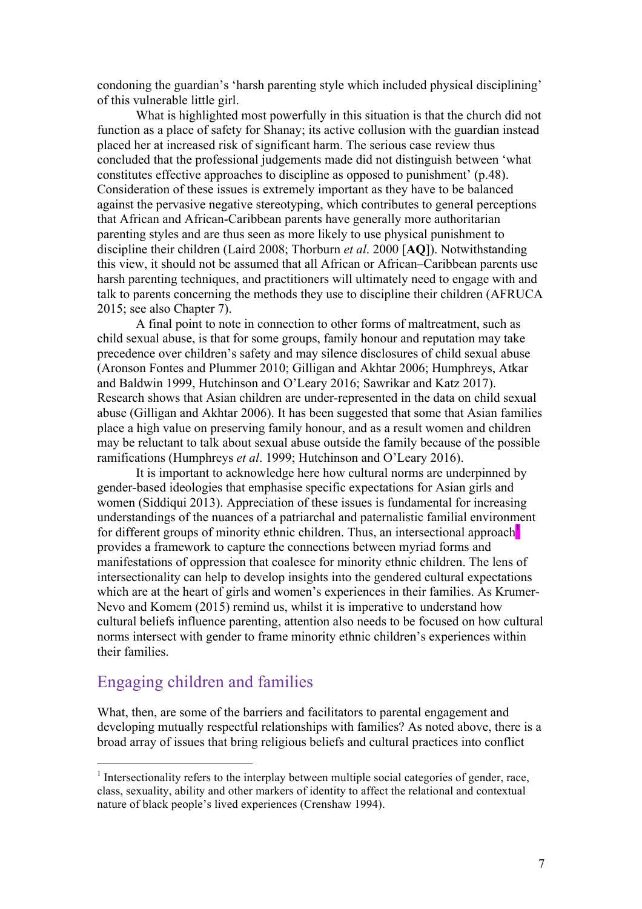condoning the guardian's 'harsh parenting style which included physical disciplining' of this vulnerable little girl.

What is highlighted most powerfully in this situation is that the church did not function as a place of safety for Shanay; its active collusion with the guardian instead placed her at increased risk of significant harm. The serious case review thus concluded that the professional judgements made did not distinguish between 'what constitutes effective approaches to discipline as opposed to punishment' (p.48). Consideration of these issues is extremely important as they have to be balanced against the pervasive negative stereotyping, which contributes to general perceptions that African and African-Caribbean parents have generally more authoritarian parenting styles and are thus seen as more likely to use physical punishment to discipline their children (Laird 2008; Thorburn *et al*. 2000 [**AQ**]). Notwithstanding this view, it should not be assumed that all African or African–Caribbean parents use harsh parenting techniques, and practitioners will ultimately need to engage with and talk to parents concerning the methods they use to discipline their children (AFRUCA 2015; see also Chapter 7).

A final point to note in connection to other forms of maltreatment, such as child sexual abuse, is that for some groups, family honour and reputation may take precedence over children's safety and may silence disclosures of child sexual abuse (Aronson Fontes and Plummer 2010; Gilligan and Akhtar 2006; Humphreys, Atkar and Baldwin 1999, Hutchinson and O'Leary 2016; Sawrikar and Katz 2017). Research shows that Asian children are under-represented in the data on child sexual abuse (Gilligan and Akhtar 2006). It has been suggested that some that Asian families place a high value on preserving family honour, and as a result women and children may be reluctant to talk about sexual abuse outside the family because of the possible ramifications (Humphreys *et al*. 1999; Hutchinson and O'Leary 2016).

It is important to acknowledge here how cultural norms are underpinned by gender-based ideologies that emphasise specific expectations for Asian girls and women (Siddiqui 2013). Appreciation of these issues is fundamental for increasing understandings of the nuances of a patriarchal and paternalistic familial environment for different groups of minority ethnic children. Thus, an intersectional approach provides a framework to capture the connections between myriad forms and manifestations of oppression that coalesce for minority ethnic children. The lens of intersectionality can help to develop insights into the gendered cultural expectations which are at the heart of girls and women's experiences in their families. As Krumer-Nevo and Komem (2015) remind us, whilst it is imperative to understand how cultural beliefs influence parenting, attention also needs to be focused on how cultural norms intersect with gender to frame minority ethnic children's experiences within their families.

### Engaging children and families

What, then, are some of the barriers and facilitators to parental engagement and developing mutually respectful relationships with families? As noted above, there is a broad array of issues that bring religious beliefs and cultural practices into conflict

 $<sup>1</sup>$  Intersectionality refers to the interplay between multiple social categories of gender, race,</sup> class, sexuality, ability and other markers of identity to affect the relational and contextual nature of black people's lived experiences (Crenshaw 1994).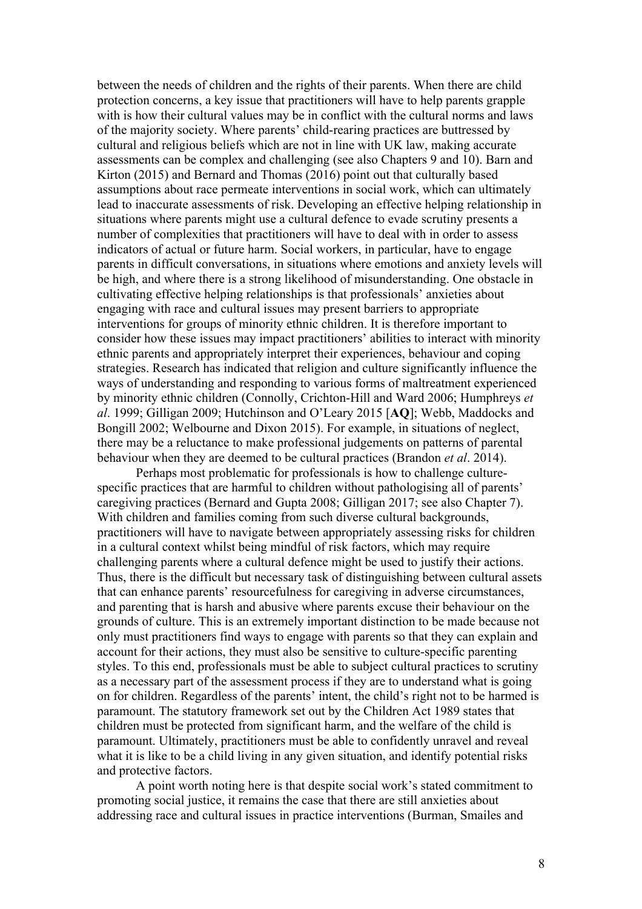between the needs of children and the rights of their parents. When there are child protection concerns, a key issue that practitioners will have to help parents grapple with is how their cultural values may be in conflict with the cultural norms and laws of the majority society. Where parents' child-rearing practices are buttressed by cultural and religious beliefs which are not in line with UK law, making accurate assessments can be complex and challenging (see also Chapters 9 and 10). Barn and Kirton (2015) and Bernard and Thomas (2016) point out that culturally based assumptions about race permeate interventions in social work, which can ultimately lead to inaccurate assessments of risk. Developing an effective helping relationship in situations where parents might use a cultural defence to evade scrutiny presents a number of complexities that practitioners will have to deal with in order to assess indicators of actual or future harm. Social workers, in particular, have to engage parents in difficult conversations, in situations where emotions and anxiety levels will be high, and where there is a strong likelihood of misunderstanding. One obstacle in cultivating effective helping relationships is that professionals' anxieties about engaging with race and cultural issues may present barriers to appropriate interventions for groups of minority ethnic children. It is therefore important to consider how these issues may impact practitioners' abilities to interact with minority ethnic parents and appropriately interpret their experiences, behaviour and coping strategies. Research has indicated that religion and culture significantly influence the ways of understanding and responding to various forms of maltreatment experienced by minority ethnic children (Connolly, Crichton-Hill and Ward 2006; Humphreys *et al*. 1999; Gilligan 2009; Hutchinson and O'Leary 2015 [**AQ**]; Webb, Maddocks and Bongill 2002; Welbourne and Dixon 2015). For example, in situations of neglect, there may be a reluctance to make professional judgements on patterns of parental behaviour when they are deemed to be cultural practices (Brandon *et al*. 2014).

Perhaps most problematic for professionals is how to challenge culturespecific practices that are harmful to children without pathologising all of parents' caregiving practices (Bernard and Gupta 2008; Gilligan 2017; see also Chapter 7). With children and families coming from such diverse cultural backgrounds, practitioners will have to navigate between appropriately assessing risks for children in a cultural context whilst being mindful of risk factors, which may require challenging parents where a cultural defence might be used to justify their actions. Thus, there is the difficult but necessary task of distinguishing between cultural assets that can enhance parents' resourcefulness for caregiving in adverse circumstances, and parenting that is harsh and abusive where parents excuse their behaviour on the grounds of culture. This is an extremely important distinction to be made because not only must practitioners find ways to engage with parents so that they can explain and account for their actions, they must also be sensitive to culture-specific parenting styles. To this end, professionals must be able to subject cultural practices to scrutiny as a necessary part of the assessment process if they are to understand what is going on for children. Regardless of the parents' intent, the child's right not to be harmed is paramount. The statutory framework set out by the Children Act 1989 states that children must be protected from significant harm, and the welfare of the child is paramount. Ultimately, practitioners must be able to confidently unravel and reveal what it is like to be a child living in any given situation, and identify potential risks and protective factors.

A point worth noting here is that despite social work's stated commitment to promoting social justice, it remains the case that there are still anxieties about addressing race and cultural issues in practice interventions (Burman, Smailes and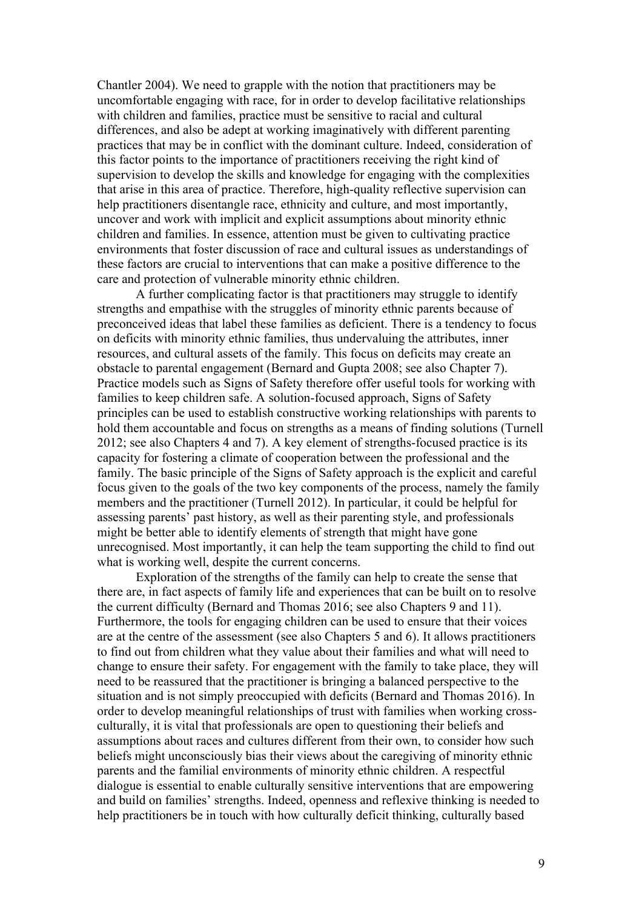Chantler 2004). We need to grapple with the notion that practitioners may be uncomfortable engaging with race, for in order to develop facilitative relationships with children and families, practice must be sensitive to racial and cultural differences, and also be adept at working imaginatively with different parenting practices that may be in conflict with the dominant culture. Indeed, consideration of this factor points to the importance of practitioners receiving the right kind of supervision to develop the skills and knowledge for engaging with the complexities that arise in this area of practice. Therefore, high-quality reflective supervision can help practitioners disentangle race, ethnicity and culture, and most importantly, uncover and work with implicit and explicit assumptions about minority ethnic children and families. In essence, attention must be given to cultivating practice environments that foster discussion of race and cultural issues as understandings of these factors are crucial to interventions that can make a positive difference to the care and protection of vulnerable minority ethnic children.

A further complicating factor is that practitioners may struggle to identify strengths and empathise with the struggles of minority ethnic parents because of preconceived ideas that label these families as deficient. There is a tendency to focus on deficits with minority ethnic families, thus undervaluing the attributes, inner resources, and cultural assets of the family. This focus on deficits may create an obstacle to parental engagement (Bernard and Gupta 2008; see also Chapter 7). Practice models such as Signs of Safety therefore offer useful tools for working with families to keep children safe. A solution-focused approach, Signs of Safety principles can be used to establish constructive working relationships with parents to hold them accountable and focus on strengths as a means of finding solutions (Turnell 2012; see also Chapters 4 and 7). A key element of strengths-focused practice is its capacity for fostering a climate of cooperation between the professional and the family. The basic principle of the Signs of Safety approach is the explicit and careful focus given to the goals of the two key components of the process, namely the family members and the practitioner (Turnell 2012). In particular, it could be helpful for assessing parents' past history, as well as their parenting style, and professionals might be better able to identify elements of strength that might have gone unrecognised. Most importantly, it can help the team supporting the child to find out what is working well, despite the current concerns.

Exploration of the strengths of the family can help to create the sense that there are, in fact aspects of family life and experiences that can be built on to resolve the current difficulty (Bernard and Thomas 2016; see also Chapters 9 and 11). Furthermore, the tools for engaging children can be used to ensure that their voices are at the centre of the assessment (see also Chapters 5 and 6). It allows practitioners to find out from children what they value about their families and what will need to change to ensure their safety. For engagement with the family to take place, they will need to be reassured that the practitioner is bringing a balanced perspective to the situation and is not simply preoccupied with deficits (Bernard and Thomas 2016). In order to develop meaningful relationships of trust with families when working crossculturally, it is vital that professionals are open to questioning their beliefs and assumptions about races and cultures different from their own, to consider how such beliefs might unconsciously bias their views about the caregiving of minority ethnic parents and the familial environments of minority ethnic children. A respectful dialogue is essential to enable culturally sensitive interventions that are empowering and build on families' strengths. Indeed, openness and reflexive thinking is needed to help practitioners be in touch with how culturally deficit thinking, culturally based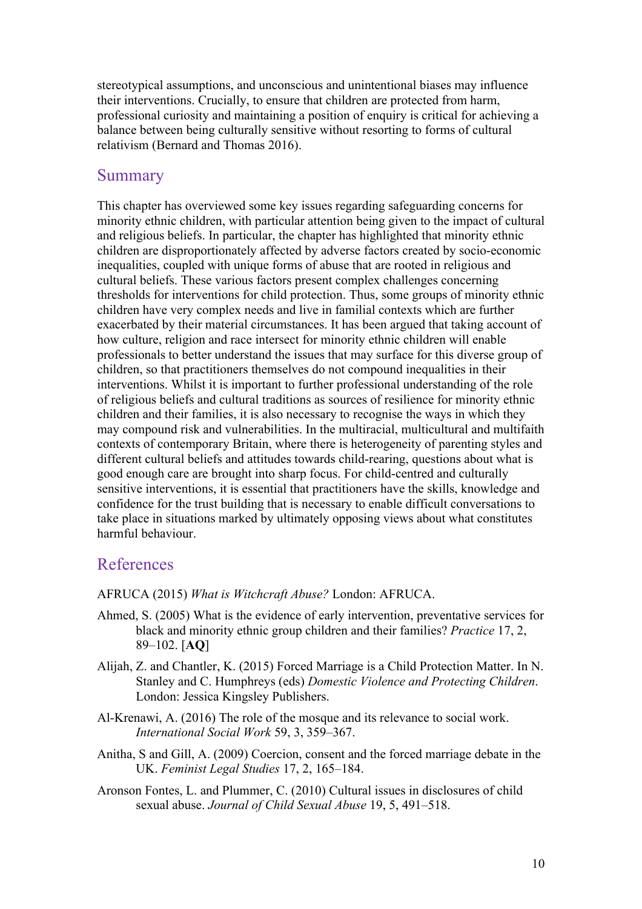stereotypical assumptions, and unconscious and unintentional biases may influence their interventions. Crucially, to ensure that children are protected from harm, professional curiosity and maintaining a position of enquiry is critical for achieving a balance between being culturally sensitive without resorting to forms of cultural relativism (Bernard and Thomas 2016).

#### **Summary**

This chapter has overviewed some key issues regarding safeguarding concerns for minority ethnic children, with particular attention being given to the impact of cultural and religious beliefs. In particular, the chapter has highlighted that minority ethnic children are disproportionately affected by adverse factors created by socio-economic inequalities, coupled with unique forms of abuse that are rooted in religious and cultural beliefs. These various factors present complex challenges concerning thresholds for interventions for child protection. Thus, some groups of minority ethnic children have very complex needs and live in familial contexts which are further exacerbated by their material circumstances. It has been argued that taking account of how culture, religion and race intersect for minority ethnic children will enable professionals to better understand the issues that may surface for this diverse group of children, so that practitioners themselves do not compound inequalities in their interventions. Whilst it is important to further professional understanding of the role of religious beliefs and cultural traditions as sources of resilience for minority ethnic children and their families, it is also necessary to recognise the ways in which they may compound risk and vulnerabilities. In the multiracial, multicultural and multifaith contexts of contemporary Britain, where there is heterogeneity of parenting styles and different cultural beliefs and attitudes towards child-rearing, questions about what is good enough care are brought into sharp focus. For child-centred and culturally sensitive interventions, it is essential that practitioners have the skills, knowledge and confidence for the trust building that is necessary to enable difficult conversations to take place in situations marked by ultimately opposing views about what constitutes harmful behaviour.

### References

AFRUCA (2015) *What is Witchcraft Abuse?* London: AFRUCA.

- Ahmed, S. (2005) What is the evidence of early intervention, preventative services for black and minority ethnic group children and their families? *Practice* 17, 2, 89–102. [**AQ**]
- Alijah, Z. and Chantler, K. (2015) Forced Marriage is a Child Protection Matter. In N. Stanley and C. Humphreys (eds) *Domestic Violence and Protecting Children*. London: Jessica Kingsley Publishers.
- Al-Krenawi, A. (2016) The role of the mosque and its relevance to social work. *International Social Work* 59, 3, 359–367.
- Anitha, S and Gill, A. (2009) Coercion, consent and the forced marriage debate in the UK. *Feminist Legal Studies* 17, 2, 165–184.
- Aronson Fontes, L. and Plummer, C. (2010) Cultural issues in disclosures of child sexual abuse. *Journal of Child Sexual Abuse* 19, 5, 491–518.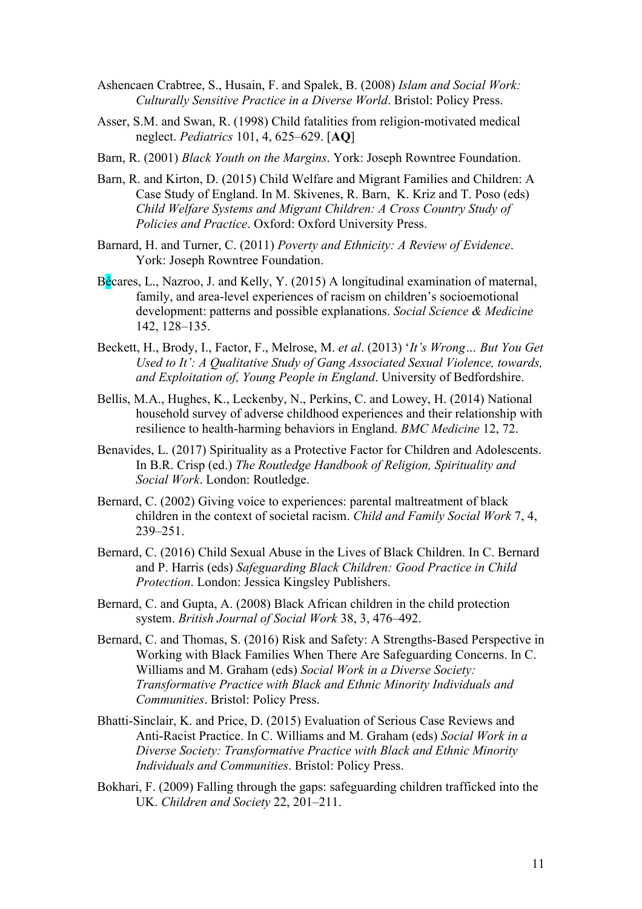- Ashencaen Crabtree, S., Husain, F. and Spalek, B. (2008) *Islam and Social Work: Culturally Sensitive Practice in a Diverse World*. Bristol: Policy Press.
- Asser, S.M. and Swan, R. (1998) Child fatalities from religion-motivated medical neglect. *Pediatrics* 101, 4, 625–629. [**AQ**]
- Barn, R. (2001) *Black Youth on the Margins*. York: Joseph Rowntree Foundation.
- Barn, R. and Kirton, D. (2015) Child Welfare and Migrant Families and Children: A Case Study of England. In M. Skivenes, R. Barn, K. Kriz and T. Poso (eds) *Child Welfare Systems and Migrant Children: A Cross Country Study of Policies and Practice*. Oxford: Oxford University Press.
- Barnard, H. and Turner, C. (2011) *Poverty and Ethnicity: A Review of Evidence*. York: Joseph Rowntree Foundation.
- Bécares, L., Nazroo, J. and Kelly, Y. (2015) A longitudinal examination of maternal, family, and area-level experiences of racism on children's socioemotional development: patterns and possible explanations. *Social Science & Medicine* 142, 128–135.
- Beckett, H., Brody, I., Factor, F., Melrose, M. *et al*. (2013) '*It's Wrong… But You Get Used to It': A Qualitative Study of Gang Associated Sexual Violence, towards, and Exploitation of, Young People in England*. University of Bedfordshire.
- Bellis, M.A., Hughes, K., Leckenby, N., Perkins, C. and Lowey, H. (2014) National household survey of adverse childhood experiences and their relationship with resilience to health-harming behaviors in England. *BMC Medicine* 12, 72.
- Benavides, L. (2017) Spirituality as a Protective Factor for Children and Adolescents. In B.R. Crisp (ed.) *The Routledge Handbook of Religion, Spirituality and Social Work*. London: Routledge.
- Bernard, C. (2002) Giving voice to experiences: parental maltreatment of black children in the context of societal racism. *Child and Family Social Work* 7, 4, 239–251.
- Bernard, C. (2016) Child Sexual Abuse in the Lives of Black Children. In C. Bernard and P. Harris (eds) *Safeguarding Black Children: Good Practice in Child Protection*. London: Jessica Kingsley Publishers.
- Bernard, C. and Gupta, A. (2008) Black African children in the child protection system. *British Journal of Social Work* 38, 3, 476–492.
- Bernard, C. and Thomas, S. (2016) Risk and Safety: A Strengths-Based Perspective in Working with Black Families When There Are Safeguarding Concerns. In C. Williams and M. Graham (eds) *Social Work in a Diverse Society: Transformative Practice with Black and Ethnic Minority Individuals and Communities*. Bristol: Policy Press.
- Bhatti-Sinclair, K. and Price, D. (2015) Evaluation of Serious Case Reviews and Anti-Racist Practice. In C. Williams and M. Graham (eds) *Social Work in a Diverse Society: Transformative Practice with Black and Ethnic Minority Individuals and Communities*. Bristol: Policy Press.
- Bokhari, F. (2009) Falling through the gaps: safeguarding children trafficked into the UK. *Children and Society* 22, 201–211.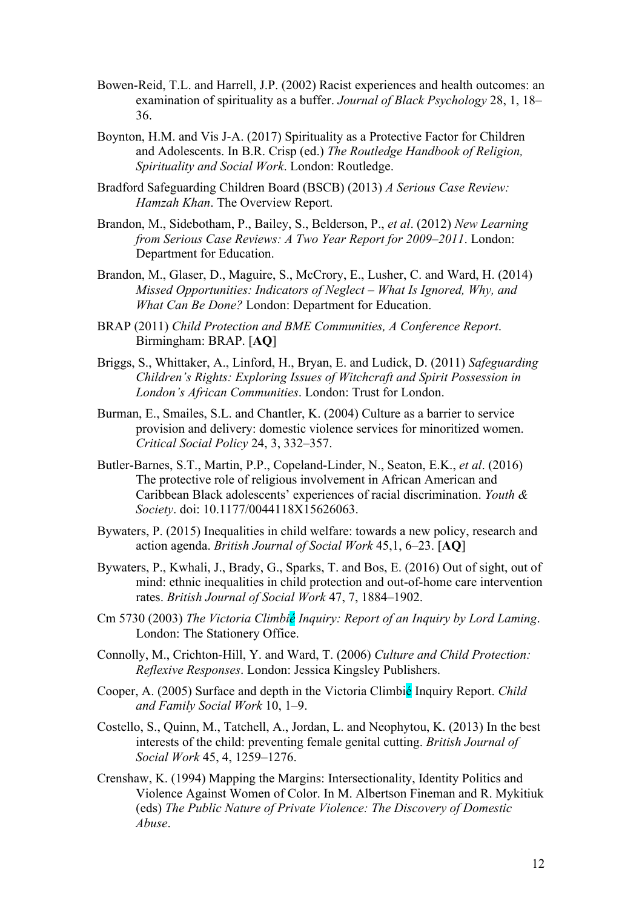- Bowen-Reid, T.L. and Harrell, J.P. (2002) Racist experiences and health outcomes: an examination of spirituality as a buffer. *Journal of Black Psychology* 28, 1, 18– 36.
- Boynton, H.M. and Vis J-A. (2017) Spirituality as a Protective Factor for Children and Adolescents. In B.R. Crisp (ed.) *The Routledge Handbook of Religion, Spirituality and Social Work*. London: Routledge.
- Bradford Safeguarding Children Board (BSCB) (2013) *A Serious Case Review: Hamzah Khan*. The Overview Report.
- Brandon, M., Sidebotham, P., Bailey, S., Belderson, P., *et al*. (2012) *New Learning from Serious Case Reviews: A Two Year Report for 2009–2011*. London: Department for Education.
- Brandon, M., Glaser, D., Maguire, S., McCrory, E., Lusher, C. and Ward, H. (2014) *Missed Opportunities: Indicators of Neglect – What Is Ignored, Why, and What Can Be Done?* London: Department for Education.
- BRAP (2011) *Child Protection and BME Communities, A Conference Report*. Birmingham: BRAP. [**AQ**]
- Briggs, S., Whittaker, A., Linford, H., Bryan, E. and Ludick, D. (2011) *Safeguarding Children's Rights: Exploring Issues of Witchcraft and Spirit Possession in London's African Communities*. London: Trust for London.
- Burman, E., Smailes, S.L. and Chantler, K. (2004) Culture as a barrier to service provision and delivery: domestic violence services for minoritized women. *Critical Social Policy* 24, 3, 332–357.
- Butler-Barnes, S.T., Martin, P.P., Copeland-Linder, N., Seaton, E.K., *et al*. (2016) The protective role of religious involvement in African American and Caribbean Black adolescents' experiences of racial discrimination. *Youth & Society*. doi: 10.1177/0044118X15626063.
- Bywaters, P. (2015) Inequalities in child welfare: towards a new policy, research and action agenda. *British Journal of Social Work* 45,1, 6–23. [**AQ**]
- Bywaters, P., Kwhali, J., Brady, G., Sparks, T. and Bos, E. (2016) Out of sight, out of mind: ethnic inequalities in child protection and out-of-home care intervention rates. *British Journal of Social Work* 47, 7, 1884–1902.
- Cm 5730 (2003) *The Victoria Climbié Inquiry: Report of an Inquiry by Lord Laming*. London: The Stationery Office.
- Connolly, M., Crichton-Hill, Y. and Ward, T. (2006) *Culture and Child Protection: Reflexive Responses*. London: Jessica Kingsley Publishers.
- Cooper, A. (2005) Surface and depth in the Victoria Climbié Inquiry Report. *Child and Family Social Work* 10, 1–9.
- Costello, S., Quinn, M., Tatchell, A., Jordan, L. and Neophytou, K. (2013) In the best interests of the child: preventing female genital cutting. *British Journal of Social Work* 45, 4, 1259–1276.
- Crenshaw, K. (1994) Mapping the Margins: Intersectionality, Identity Politics and Violence Against Women of Color. In M. Albertson Fineman and R. Mykitiuk (eds) *The Public Nature of Private Violence: The Discovery of Domestic Abuse*.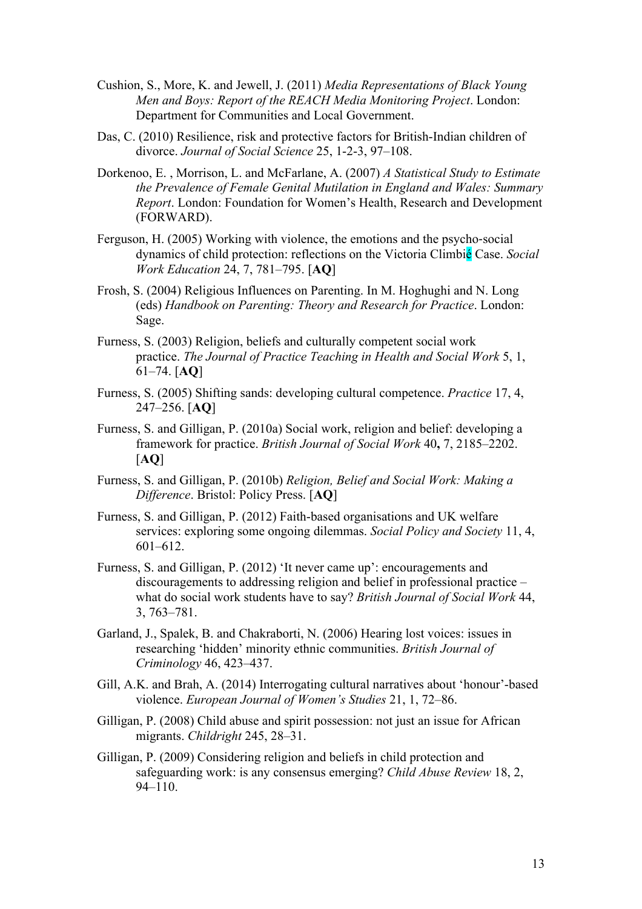- Cushion, S., More, K. and Jewell, J. (2011) *Media Representations of Black Young Men and Boys: Report of the REACH Media Monitoring Project*. London: Department for Communities and Local Government.
- Das, C. (2010) Resilience, risk and protective factors for British-Indian children of divorce. *Journal of Social Science* 25, 1-2-3, 97–108.
- Dorkenoo, E. , Morrison, L. and McFarlane, A. (2007) *A Statistical Study to Estimate the Prevalence of Female Genital Mutilation in England and Wales: Summary Report*. London: Foundation for Women's Health, Research and Development (FORWARD).
- Ferguson, H. (2005) Working with violence, the emotions and the psycho-social dynamics of child protection: reflections on the Victoria Climbié Case. *Social Work Education* 24, 7, 781–795. [**AQ**]
- Frosh, S. (2004) Religious Influences on Parenting. In M. Hoghughi and N. Long (eds) *Handbook on Parenting: Theory and Research for Practice*. London: Sage.
- Furness, S. (2003) Religion, beliefs and culturally competent social work practice. *The Journal of Practice Teaching in Health and Social Work* 5, 1, 61–74. [**AQ**]
- Furness, S. (2005) Shifting sands: developing cultural competence. *Practice* 17, 4, 247–256. [**AQ**]
- Furness, S. and Gilligan, P. (2010a) Social work, religion and belief: developing a framework for practice. *British Journal of Social Work* 40**,** 7, 2185–2202. [**AQ**]
- Furness, S. and Gilligan, P. (2010b) *Religion, Belief and Social Work: Making a Difference*. Bristol: Policy Press. [**AQ**]
- Furness, S. and Gilligan, P. (2012) Faith-based organisations and UK welfare services: exploring some ongoing dilemmas. *Social Policy and Society* 11, 4, 601–612.
- Furness, S. and Gilligan, P. (2012) 'It never came up': encouragements and discouragements to addressing religion and belief in professional practice – what do social work students have to say? *British Journal of Social Work* 44, 3, 763–781.
- Garland, J., Spalek, B. and Chakraborti, N. (2006) Hearing lost voices: issues in researching 'hidden' minority ethnic communities. *British Journal of Criminology* 46, 423–437.
- Gill, A.K. and Brah, A. (2014) Interrogating cultural narratives about 'honour'-based violence. *European Journal of Women's Studies* 21, 1, 72–86.
- Gilligan, P. (2008) Child abuse and spirit possession: not just an issue for African migrants. *Childright* 245, 28–31.
- Gilligan, P. (2009) Considering religion and beliefs in child protection and safeguarding work: is any consensus emerging? *Child Abuse Review* 18, 2,  $94 - 110$ .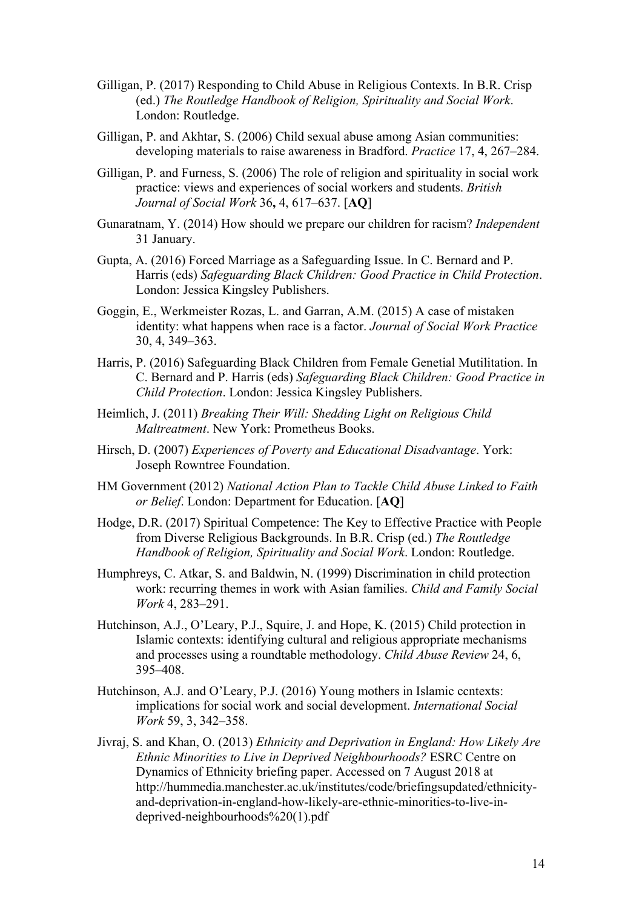- Gilligan, P. (2017) Responding to Child Abuse in Religious Contexts. In B.R. Crisp (ed.) *The Routledge Handbook of Religion, Spirituality and Social Work*. London: Routledge.
- Gilligan, P. and Akhtar, S. (2006) Child sexual abuse among Asian communities: developing materials to raise awareness in Bradford. *Practice* 17, 4, 267–284.
- Gilligan, P. and Furness, S. (2006) The role of religion and spirituality in social work practice: views and experiences of social workers and students. *British Journal of Social Work* 36**,** 4, 617–637. [**AQ**]
- Gunaratnam, Y. (2014) How should we prepare our children for racism? *Independent* 31 January.
- Gupta, A. (2016) Forced Marriage as a Safeguarding Issue. In C. Bernard and P. Harris (eds) *Safeguarding Black Children: Good Practice in Child Protection*. London: Jessica Kingsley Publishers.
- Goggin, E., Werkmeister Rozas, L. and Garran, A.M. (2015) A case of mistaken identity: what happens when race is a factor. *Journal of Social Work Practice* 30, 4, 349–363.
- Harris, P. (2016) Safeguarding Black Children from Female Genetial Mutilitation. In C. Bernard and P. Harris (eds) *Safeguarding Black Children: Good Practice in Child Protection*. London: Jessica Kingsley Publishers.
- Heimlich, J. (2011) *Breaking Their Will: Shedding Light on Religious Child Maltreatment*. New York: Prometheus Books.
- Hirsch, D. (2007) *Experiences of Poverty and Educational Disadvantage*. York: Joseph Rowntree Foundation.
- HM Government (2012) *National Action Plan to Tackle Child Abuse Linked to Faith or Belief*. London: Department for Education. [**AQ**]
- Hodge, D.R. (2017) Spiritual Competence: The Key to Effective Practice with People from Diverse Religious Backgrounds. In B.R. Crisp (ed.) *The Routledge Handbook of Religion, Spirituality and Social Work*. London: Routledge.
- Humphreys, C. Atkar, S. and Baldwin, N. (1999) Discrimination in child protection work: recurring themes in work with Asian families. *Child and Family Social Work* 4, 283–291.
- Hutchinson, A.J., O'Leary, P.J., Squire, J. and Hope, K. (2015) Child protection in Islamic contexts: identifying cultural and religious appropriate mechanisms and processes using a roundtable methodology. *Child Abuse Review* 24, 6, 395–408.
- Hutchinson, A.J. and O'Leary, P.J. (2016) Young mothers in Islamic ccntexts: implications for social work and social development. *International Social Work* 59, 3, 342–358.
- Jivraj, S. and Khan, O. (2013) *Ethnicity and Deprivation in England: How Likely Are Ethnic Minorities to Live in Deprived Neighbourhoods?* ESRC Centre on Dynamics of Ethnicity briefing paper. Accessed on 7 August 2018 at http://hummedia.manchester.ac.uk/institutes/code/briefingsupdated/ethnicityand-deprivation-in-england-how-likely-are-ethnic-minorities-to-live-indeprived-neighbourhoods%20(1).pdf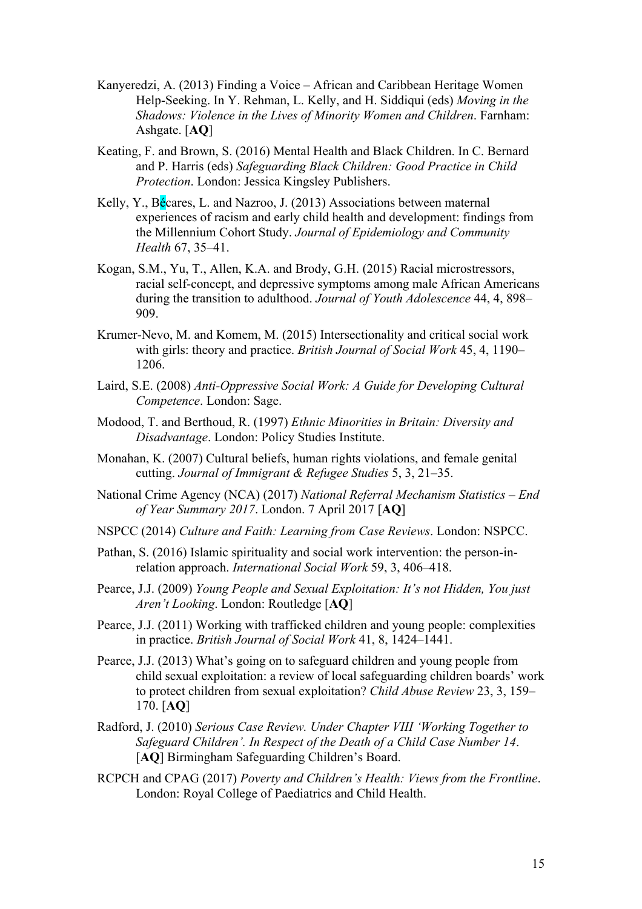- Kanyeredzi, A. (2013) Finding a Voice African and Caribbean Heritage Women Help-Seeking. In Y. Rehman, L. Kelly, and H. Siddiqui (eds) *Moving in the Shadows: Violence in the Lives of Minority Women and Children*. Farnham: Ashgate. [**AQ**]
- Keating, F. and Brown, S. (2016) Mental Health and Black Children. In C. Bernard and P. Harris (eds) *Safeguarding Black Children: Good Practice in Child Protection*. London: Jessica Kingsley Publishers.
- Kelly, Y., Bécares, L. and Nazroo, J. (2013) Associations between maternal experiences of racism and early child health and development: findings from the Millennium Cohort Study. *Journal of Epidemiology and Community Health* 67, 35–41.
- Kogan, S.M., Yu, T., Allen, K.A. and Brody, G.H. (2015) Racial microstressors, racial self-concept, and depressive symptoms among male African Americans during the transition to adulthood. *Journal of Youth Adolescence* 44, 4, 898– 909.
- Krumer-Nevo, M. and Komem, M. (2015) Intersectionality and critical social work with girls: theory and practice. *British Journal of Social Work* 45, 4, 1190– 1206.
- Laird, S.E. (2008) *Anti-Oppressive Social Work: A Guide for Developing Cultural Competence*. London: Sage.
- Modood, T. and Berthoud, R. (1997) *Ethnic Minorities in Britain: Diversity and Disadvantage*. London: Policy Studies Institute.
- Monahan, K. (2007) Cultural beliefs, human rights violations, and female genital cutting. *Journal of Immigrant & Refugee Studies* 5, 3, 21–35.
- National Crime Agency (NCA) (2017) *National Referral Mechanism Statistics – End of Year Summary 2017*. London. 7 April 2017 [**AQ**]
- NSPCC (2014) *Culture and Faith: Learning from Case Reviews*. London: NSPCC.
- Pathan, S. (2016) Islamic spirituality and social work intervention: the person-inrelation approach. *International Social Work* 59, 3, 406–418.
- Pearce, J.J. (2009) *Young People and Sexual Exploitation: It's not Hidden, You just Aren't Looking*. London: Routledge [**AQ**]
- Pearce, J.J. (2011) Working with trafficked children and young people: complexities in practice. *British Journal of Social Work* 41, 8, 1424–1441.
- Pearce, J.J. (2013) What's going on to safeguard children and young people from child sexual exploitation: a review of local safeguarding children boards' work to protect children from sexual exploitation? *Child Abuse Review* 23, 3, 159– 170. [**AQ**]
- Radford, J. (2010) *Serious Case Review. Under Chapter VIII 'Working Together to Safeguard Children'. In Respect of the Death of a Child Case Number 14*. [**AQ**] Birmingham Safeguarding Children's Board.
- RCPCH and CPAG (2017) *Poverty and Children's Health: Views from the Frontline*. London: Royal College of Paediatrics and Child Health.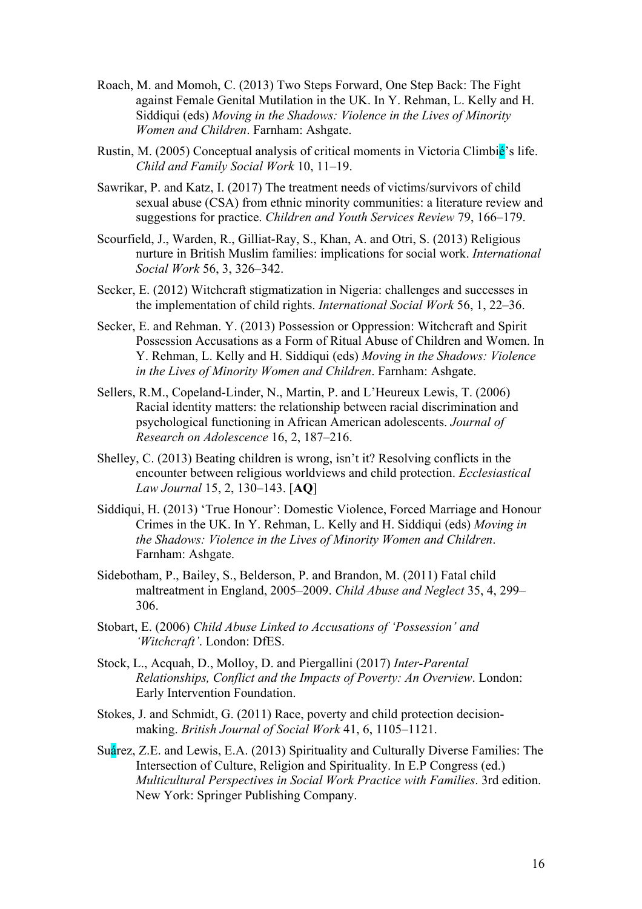- Roach, M. and Momoh, C. (2013) Two Steps Forward, One Step Back: The Fight against Female Genital Mutilation in the UK. In Y. Rehman, L. Kelly and H. Siddiqui (eds) *Moving in the Shadows: Violence in the Lives of Minority Women and Children*. Farnham: Ashgate.
- Rustin, M. (2005) Conceptual analysis of critical moments in Victoria Climbié's life. *Child and Family Social Work* 10, 11–19.
- Sawrikar, P. and Katz, I. (2017) The treatment needs of victims/survivors of child sexual abuse (CSA) from ethnic minority communities: a literature review and suggestions for practice. *Children and Youth Services Review* 79, 166–179.
- Scourfield, J., Warden, R., Gilliat-Ray, S., Khan, A. and Otri, S. (2013) Religious nurture in British Muslim families: implications for social work. *International Social Work* 56, 3, 326–342.
- Secker, E. (2012) Witchcraft stigmatization in Nigeria: challenges and successes in the implementation of child rights. *International Social Work* 56, 1, 22–36.
- Secker, E. and Rehman. Y. (2013) Possession or Oppression: Witchcraft and Spirit Possession Accusations as a Form of Ritual Abuse of Children and Women. In Y. Rehman, L. Kelly and H. Siddiqui (eds) *Moving in the Shadows: Violence in the Lives of Minority Women and Children*. Farnham: Ashgate.
- Sellers, R.M., Copeland-Linder, N., Martin, P. and L'Heureux Lewis, T. (2006) Racial identity matters: the relationship between racial discrimination and psychological functioning in African American adolescents. *Journal of Research on Adolescence* 16, 2, 187–216.
- Shelley, C. (2013) Beating children is wrong, isn't it? Resolving conflicts in the encounter between religious worldviews and child protection. *Ecclesiastical Law Journal* 15, 2, 130–143. [**AQ**]
- Siddiqui, H. (2013) 'True Honour': Domestic Violence, Forced Marriage and Honour Crimes in the UK. In Y. Rehman, L. Kelly and H. Siddiqui (eds) *Moving in the Shadows: Violence in the Lives of Minority Women and Children*. Farnham: Ashgate.
- Sidebotham, P., Bailey, S., Belderson, P. and Brandon, M. (2011) Fatal child maltreatment in England, 2005–2009. *Child Abuse and Neglect* 35, 4, 299– 306.
- Stobart, E. (2006) *Child Abuse Linked to Accusations of 'Possession' and 'Witchcraft'*. London: DfES.
- Stock, L., Acquah, D., Molloy, D. and Piergallini (2017) *Inter-Parental Relationships, Conflict and the Impacts of Poverty: An Overview*. London: Early Intervention Foundation.
- Stokes, J. and Schmidt, G. (2011) Race, poverty and child protection decisionmaking. *British Journal of Social Work* 41, 6, 1105–1121.
- Suárez, Z.E. and Lewis, E.A. (2013) Spirituality and Culturally Diverse Families: The Intersection of Culture, Religion and Spirituality. In E.P Congress (ed.) *Multicultural Perspectives in Social Work Practice with Families*. 3rd edition. New York: Springer Publishing Company.